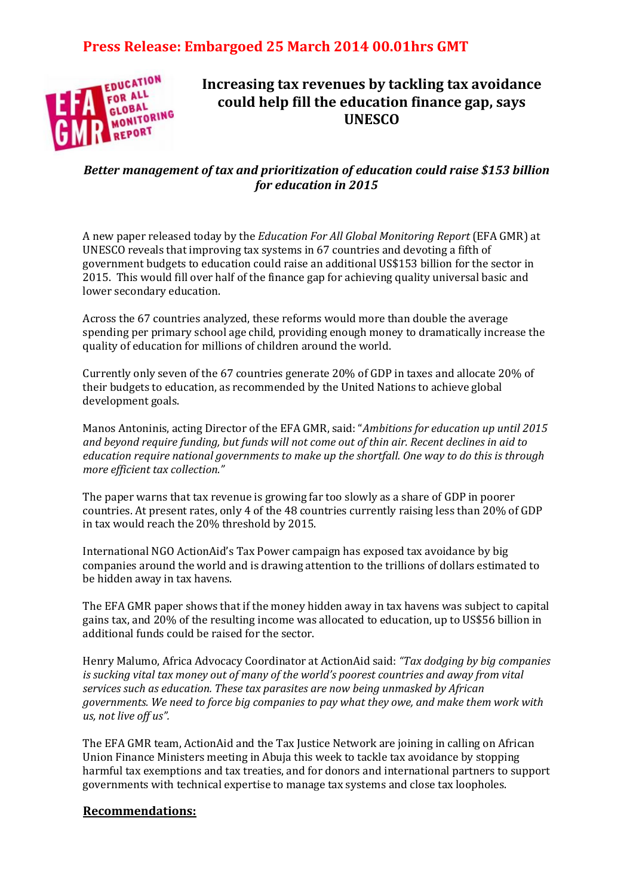## **Press Release: Embargoed 25 March 2014 00.01hrs GMT**



## **Increasing tax revenues by tackling tax avoidance could help fill the education finance gap, says UNESCO**

### *Better management of tax and prioritization of education could raise \$153 billion for education in 2015*

A new paper released today by the *Education For All Global Monitoring Report* (EFA GMR) at UNESCO reveals that improving tax systems in 67 countries and devoting a fifth of government budgets to education could raise an additional US\$153 billion for the sector in 2015. This would fill over half of the finance gap for achieving quality universal basic and lower secondary education.

Across the 67 countries analyzed, these reforms would more than double the average spending per primary school age child, providing enough money to dramatically increase the quality of education for millions of children around the world.

Currently only seven of the 67 countries generate 20% of GDP in taxes and allocate 20% of their budgets to education, as recommended by the United Nations to achieve global development goals.

Manos Antoninis, acting Director of the EFA GMR, said: "*Ambitions for education up until 2015 and beyond require funding, but funds will not come out of thin air. Recent declines in aid to education require national governments to make up the shortfall. One way to do this is through more efficient tax collection."*

The paper warns that tax revenue is growing far too slowly as a share of GDP in poorer countries. At present rates, only 4 of the 48 countries currently raising less than 20% of GDP in tax would reach the 20% threshold by 2015.

International NGO ActionAid's Tax Power campaign has exposed tax avoidance by big companies around the world and is drawing attention to the trillions of dollars estimated to be hidden away in tax havens.

The EFA GMR paper shows that if the money hidden away in tax havens was subject to capital gains tax, and 20% of the resulting income was allocated to education, up to US\$56 billion in additional funds could be raised for the sector.

Henry Malumo, Africa Advocacy Coordinator at ActionAid said: *"Tax dodging by big companies is sucking vital tax money out of many of the world's poorest countries and away from vital services such as education. These tax parasites are now being unmasked by African governments. We need to force big companies to pay what they owe, and make them work with us, not live off us".*

The EFA GMR team, ActionAid and the Tax Justice Network are joining in calling on African Union Finance Ministers meeting in Abuja this week to tackle tax avoidance by stopping harmful tax exemptions and tax treaties, and for donors and international partners to support governments with technical expertise to manage tax systems and close tax loopholes.

#### **Recommendations:**